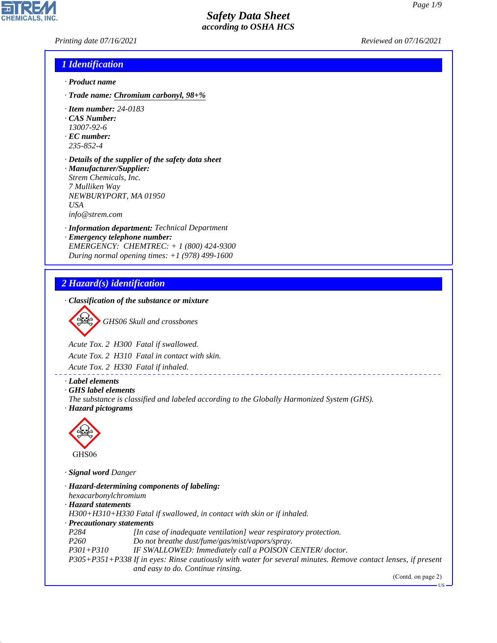*Printing date 07/16/2021 Reviewed on 07/16/2021*

#### *1 Identification*

- *· Product name*
- *· Trade name: Chromium carbonyl, 98+%*
- *· Item number: 24-0183*
- *· CAS Number:*
- *13007-92-6*
- *· EC number: 235-852-4*
- *· Details of the supplier of the safety data sheet · Manufacturer/Supplier: Strem Chemicals, Inc. 7 Mulliken Way NEWBURYPORT, MA 01950 USA*

*info@strem.com*

- *· Information department: Technical Department*
- *· Emergency telephone number: EMERGENCY: CHEMTREC: + 1 (800) 424-9300 During normal opening times: +1 (978) 499-1600*

### *2 Hazard(s) identification*

*· Classification of the substance or mixture*

d~*GHS06 Skull and crossbones*

*Acute Tox. 2 H300 Fatal if swallowed.*

*Acute Tox. 2 H310 Fatal in contact with skin.*

*Acute Tox. 2 H330 Fatal if inhaled.*

#### *· Label elements*

- *· GHS label elements*
- *The substance is classified and labeled according to the Globally Harmonized System (GHS). · Hazard pictograms*



44.1.1

*· Signal word Danger*

|                            | · Hazard-determining components of labeling:                                                                  |
|----------------------------|---------------------------------------------------------------------------------------------------------------|
| hexacarbonylchromium       |                                                                                                               |
| · Hazard statements        |                                                                                                               |
|                            | $H300+H310+H330$ Fatal if swallowed, in contact with skin or if inhaled.                                      |
| · Precautionary statements |                                                                                                               |
| P <sub>284</sub>           | [In case of inadequate ventilation] wear respiratory protection.                                              |
| P <sub>260</sub>           | Do not breathe dust/fume/gas/mist/vapors/spray.                                                               |
| $P301 + P310$              | IF SWALLOWED: Immediately call a POISON CENTER/doctor.                                                        |
|                            | P305+P351+P338 If in eyes: Rinse cautiously with water for several minutes. Remove contact lenses, if present |
|                            | and easy to do. Continue rinsing.                                                                             |

\_\_\_\_\_\_\_\_\_\_\_\_\_\_\_\_\_\_\_\_\_

(Contd. on page 2)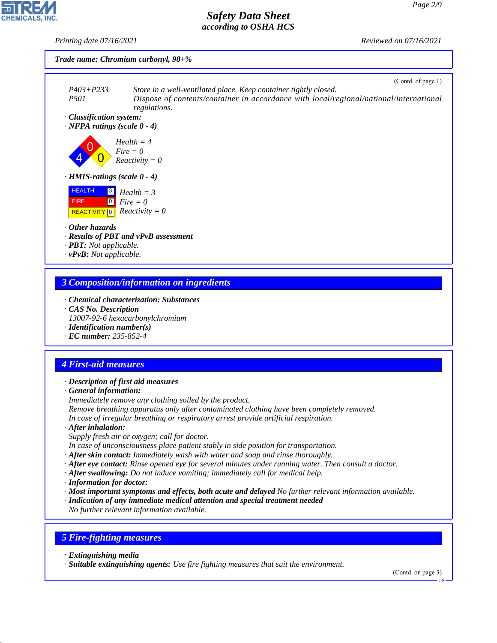*Printing date 07/16/2021 Reviewed on 07/16/2021*





- *· PBT: Not applicable.*
- *· vPvB: Not applicable.*

### *3 Composition/information on ingredients*

- *· Chemical characterization: Substances*
- *· CAS No. Description*
- *13007-92-6 hexacarbonylchromium*
- *· Identification number(s) · EC number: 235-852-4*

# *4 First-aid measures*

#### *· Description of first aid measures*

*· General information:*

*Immediately remove any clothing soiled by the product. Remove breathing apparatus only after contaminated clothing have been completely removed.*

*In case of irregular breathing or respiratory arrest provide artificial respiration.*

*· After inhalation:*

*Supply fresh air or oxygen; call for doctor.*

*In case of unconsciousness place patient stably in side position for transportation.*

- *· After skin contact: Immediately wash with water and soap and rinse thoroughly.*
- *· After eye contact: Rinse opened eye for several minutes under running water. Then consult a doctor.*
- *· After swallowing: Do not induce vomiting; immediately call for medical help.*
- *· Information for doctor:*
- *· Most important symptoms and effects, both acute and delayed No further relevant information available.*
- *· Indication of any immediate medical attention and special treatment needed*

*No further relevant information available.*

### *5 Fire-fighting measures*

*· Extinguishing media*

44.1.1

*· Suitable extinguishing agents: Use fire fighting measures that suit the environment.*

(Contd. on page 3)

US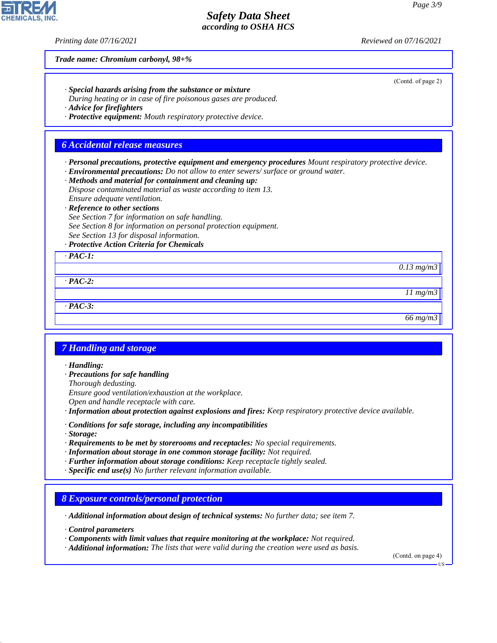*Printing date 07/16/2021 Reviewed on 07/16/2021*

*Trade name: Chromium carbonyl, 98+%*

*· Special hazards arising from the substance or mixture*

*During heating or in case of fire poisonous gases are produced.*

*· Advice for firefighters*

*· Protective equipment: Mouth respiratory protective device.*

#### *6 Accidental release measures*

*· Personal precautions, protective equipment and emergency procedures Mount respiratory protective device.*

*· Environmental precautions: Do not allow to enter sewers/ surface or ground water.*

*· Methods and material for containment and cleaning up: Dispose contaminated material as waste according to item 13. Ensure adequate ventilation.*

*· Reference to other sections*

*See Section 7 for information on safe handling.*

*See Section 8 for information on personal protection equipment.*

*See Section 13 for disposal information.*

#### *· Protective Action Criteria for Chemicals*

*· PAC-1:*

*0.13 mg/m3*

*· PAC-2:*

*· PAC-3:*

*11 mg/m3*

*66 mg/m3*

#### *7 Handling and storage*

*· Handling:*

*· Precautions for safe handling*

*Thorough dedusting.*

*Ensure good ventilation/exhaustion at the workplace.*

*Open and handle receptacle with care.*

*· Information about protection against explosions and fires: Keep respiratory protective device available.*

- *· Conditions for safe storage, including any incompatibilities*
- *· Storage:*

44.1.1

*· Requirements to be met by storerooms and receptacles: No special requirements.*

- *· Information about storage in one common storage facility: Not required.*
- *· Further information about storage conditions: Keep receptacle tightly sealed.*
- *· Specific end use(s) No further relevant information available.*

#### *8 Exposure controls/personal protection*

*· Additional information about design of technical systems: No further data; see item 7.*

*· Control parameters*

*· Components with limit values that require monitoring at the workplace: Not required.*

*· Additional information: The lists that were valid during the creation were used as basis.*

(Contd. on page 4)

US



(Contd. of page 2)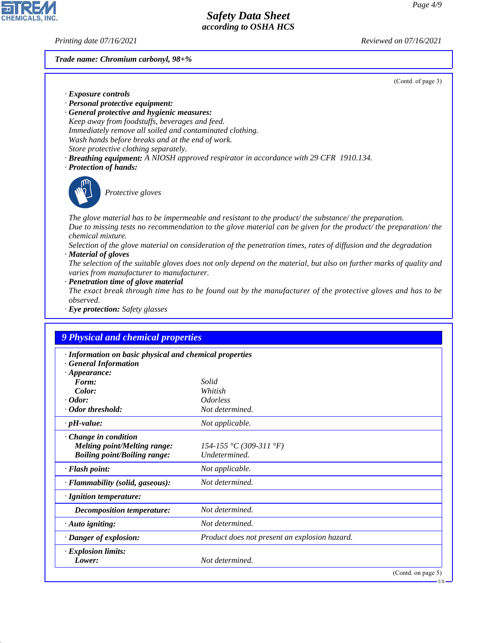**CHEMICALS.** 

*Printing date 07/16/2021 Reviewed on 07/16/2021*

#### *Trade name: Chromium carbonyl, 98+%*

(Contd. of page 3)

US

- *· Exposure controls*
- *· Personal protective equipment:*
- *· General protective and hygienic measures: Keep away from foodstuffs, beverages and feed. Immediately remove all soiled and contaminated clothing. Wash hands before breaks and at the end of work. Store protective clothing separately.*
- *· Breathing equipment: A NIOSH approved respirator in accordance with 29 CFR 1910.134.*
- *· Protection of hands:*



44.1.1

\_S*Protective gloves*

*The glove material has to be impermeable and resistant to the product/ the substance/ the preparation. Due to missing tests no recommendation to the glove material can be given for the product/ the preparation/ the chemical mixture.*

*Selection of the glove material on consideration of the penetration times, rates of diffusion and the degradation · Material of gloves*

*The selection of the suitable gloves does not only depend on the material, but also on further marks of quality and varies from manufacturer to manufacturer.*

*· Penetration time of glove material*

*The exact break through time has to be found out by the manufacturer of the protective gloves and has to be observed.*

*· Eye protection: Safety glasses*

| · Information on basic physical and chemical properties |                                               |  |
|---------------------------------------------------------|-----------------------------------------------|--|
| <b>General Information</b>                              |                                               |  |
| $\cdot$ Appearance:                                     |                                               |  |
| Form:                                                   | Solid                                         |  |
| Color:                                                  | Whitish                                       |  |
| $\cdot$ Odor:                                           | <i><u><b>Odorless</b></u></i>                 |  |
| · Odor threshold:                                       | Not determined.                               |  |
| $\cdot$ pH-value:                                       | Not applicable.                               |  |
| Change in condition                                     |                                               |  |
| <b>Melting point/Melting range:</b>                     | 154-155 °C (309-311 °F)                       |  |
| <b>Boiling point/Boiling range:</b>                     | Undetermined.                                 |  |
| · Flash point:                                          | Not applicable.                               |  |
| · Flammability (solid, gaseous):                        | Not determined.                               |  |
| · Ignition temperature:                                 |                                               |  |
| <b>Decomposition temperature:</b>                       | Not determined.                               |  |
| $\cdot$ Auto igniting:                                  | Not determined.                               |  |
| · Danger of explosion:                                  | Product does not present an explosion hazard. |  |
| · Explosion limits:                                     |                                               |  |
| Lower:                                                  | Not determined.                               |  |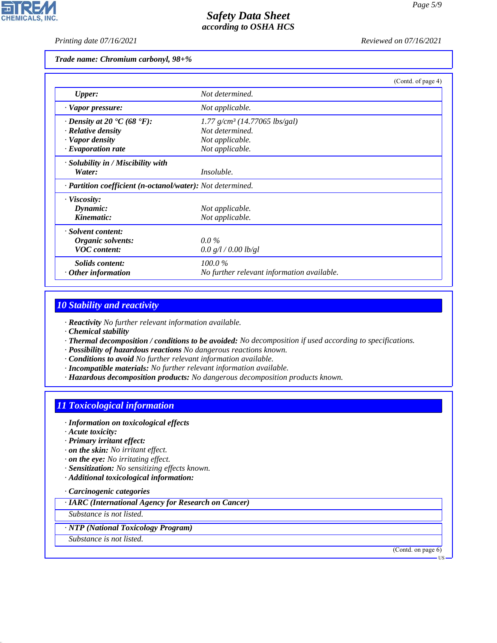*Printing date 07/16/2021 Reviewed on 07/16/2021*

#### *Trade name: Chromium carbonyl, 98+%*

|                                                             | (Contd. of page 4)                          |
|-------------------------------------------------------------|---------------------------------------------|
| <b>Upper:</b>                                               | Not determined.                             |
| · Vapor pressure:                                           | Not applicable.                             |
| $\cdot$ Density at 20 $\textdegree$ C (68 $\textdegree$ F): | $1.77$ g/cm <sup>3</sup> (14.77065 lbs/gal) |
| $\cdot$ Relative density                                    | Not determined.                             |
| · Vapor density                                             | Not applicable.                             |
| $\cdot$ Evaporation rate                                    | Not applicable.                             |
| · Solubility in / Miscibility with                          |                                             |
| Water:                                                      | <i>Insoluble.</i>                           |
| · Partition coefficient (n-octanol/water): Not determined.  |                                             |
| $\cdot$ Viscosity:                                          |                                             |
| Dynamic:                                                    | Not applicable.                             |
| Kinematic:                                                  | Not applicable.                             |
| · Solvent content:                                          |                                             |
| Organic solvents:                                           | $0.0\%$                                     |
| <b>VOC</b> content:                                         | 0.0 g/l / 0.00 lb/gl                        |
| Solids content:                                             | 100.0%                                      |
| $\cdot$ Other information                                   | No further relevant information available.  |

## *10 Stability and reactivity*

*· Reactivity No further relevant information available.*

*· Chemical stability*

- *· Thermal decomposition / conditions to be avoided: No decomposition if used according to specifications.*
- *· Possibility of hazardous reactions No dangerous reactions known.*
- *· Conditions to avoid No further relevant information available.*
- *· Incompatible materials: No further relevant information available.*
- *· Hazardous decomposition products: No dangerous decomposition products known.*

### *11 Toxicological information*

- *· Information on toxicological effects*
- *· Acute toxicity:*
- *· Primary irritant effect:*
- *· on the skin: No irritant effect.*
- *· on the eye: No irritating effect.*
- *· Sensitization: No sensitizing effects known.*
- *· Additional toxicological information:*
- *· Carcinogenic categories*
- *· IARC (International Agency for Research on Cancer)*

*Substance is not listed.*

#### *· NTP (National Toxicology Program)*

*Substance is not listed.*

44.1.1

(Contd. on page 6)

US

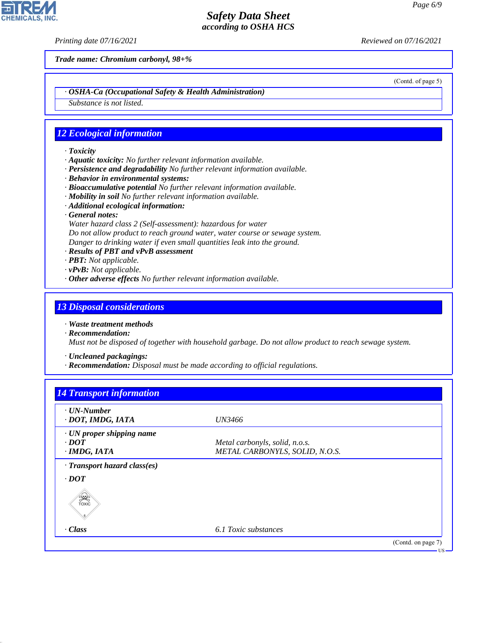**CHEMICALS, INC** 

*Printing date 07/16/2021 Reviewed on 07/16/2021*

*Trade name: Chromium carbonyl, 98+%*

(Contd. of page 5)

*· OSHA-Ca (Occupational Safety & Health Administration)*

*Substance is not listed.*

#### *12 Ecological information*

- *· Toxicity*
- *· Aquatic toxicity: No further relevant information available.*
- *· Persistence and degradability No further relevant information available.*
- *· Behavior in environmental systems:*
- *· Bioaccumulative potential No further relevant information available.*
- *· Mobility in soil No further relevant information available.*
- *· Additional ecological information:*
- *· General notes:*
- *Water hazard class 2 (Self-assessment): hazardous for water*
- *Do not allow product to reach ground water, water course or sewage system.*
- *Danger to drinking water if even small quantities leak into the ground.*
- *· Results of PBT and vPvB assessment*
- *· PBT: Not applicable.*
- *· vPvB: Not applicable.*
- *· Other adverse effects No further relevant information available.*

#### *13 Disposal considerations*

- *· Waste treatment methods*
- *· Recommendation: Must not be disposed of together with household garbage. Do not allow product to reach sewage system.*
- *· Uncleaned packagings:*

44.1.1

*· Recommendation: Disposal must be made according to official regulations.*

| $\cdot$ UN-Number<br>· DOT, IMDG, IATA               | <i>UN3466</i>                  |  |
|------------------------------------------------------|--------------------------------|--|
| · UN proper shipping name                            |                                |  |
| $\cdot$ <i>DOT</i>                                   | Metal carbonyls, solid, n.o.s. |  |
| $\cdot$ IMDG, IATA                                   | METAL CARBONYLS, SOLID, N.O.S. |  |
| · Transport hazard class(es)<br>$\cdot$ DOT<br>SSSS) |                                |  |
| $\cdot$ Class                                        | 6.1 Toxic substances           |  |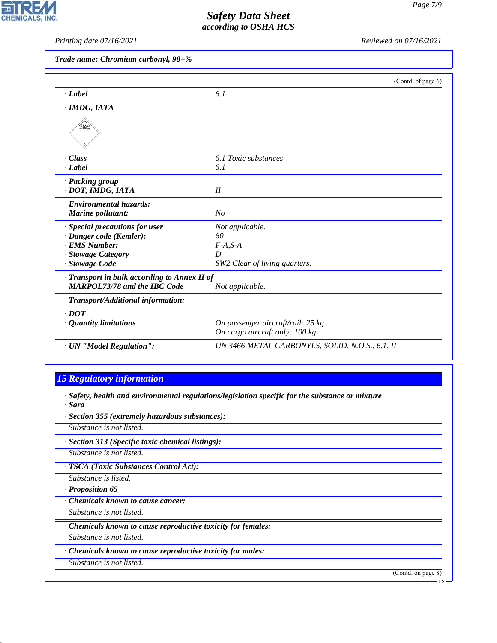*Printing date 07/16/2021 Reviewed on 07/16/2021*

*Trade name: Chromium carbonyl, 98+%*

|                                              | (Contd. of page 6)                              |
|----------------------------------------------|-------------------------------------------------|
| · Label                                      | 6.1                                             |
| · IMDG, IATA                                 |                                                 |
|                                              |                                                 |
| - Class                                      | 6.1 Toxic substances                            |
| · Label                                      | 6.1                                             |
| · Packing group                              |                                                 |
| · DOT, IMDG, IATA                            | II                                              |
| · Environmental hazards:                     |                                                 |
| $\cdot$ Marine pollutant:                    | N <sub>O</sub>                                  |
| · Special precautions for user               | Not applicable.                                 |
| · Danger code (Kemler):                      | 60                                              |
| · EMS Number:                                | $F-A, S-A$                                      |
| · Stowage Category                           | D                                               |
| · Stowage Code                               | SW2 Clear of living quarters.                   |
| · Transport in bulk according to Annex II of |                                                 |
| <b>MARPOL73/78 and the IBC Code</b>          | Not applicable.                                 |
| $\cdot$ Transport/Additional information:    |                                                 |
| $\cdot$ DOT                                  |                                                 |
| $\cdot$ Quantity limitations                 | On passenger aircraft/rail: 25 kg               |
|                                              | On cargo aircraft only: 100 kg                  |
| · UN "Model Regulation":                     | UN 3466 METAL CARBONYLS, SOLID, N.O.S., 6.1, II |

## *15 Regulatory information*

- *· Safety, health and environmental regulations/legislation specific for the substance or mixture · Sara*
- *· Section 355 (extremely hazardous substances): Substance is not listed. · Section 313 (Specific toxic chemical listings): Substance is not listed. · TSCA (Toxic Substances Control Act): Substance is listed. · Proposition 65 · Chemicals known to cause cancer: Substance is not listed. · Chemicals known to cause reproductive toxicity for females: Substance is not listed. · Chemicals known to cause reproductive toxicity for males: Substance is not listed.* (Contd. on page 8) US

44.1.1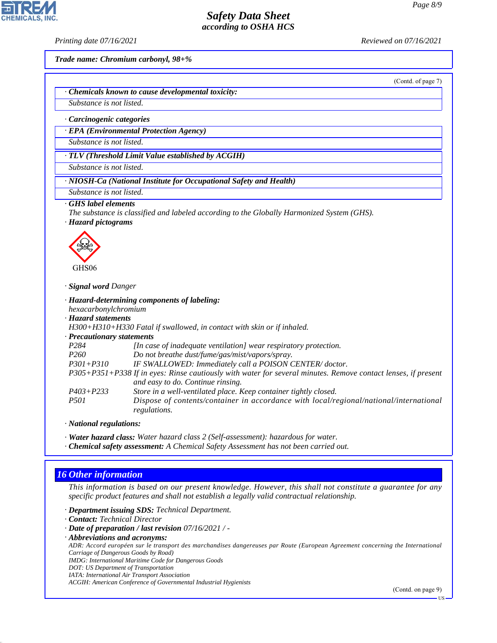*Printing date 07/16/2021 Reviewed on 07/16/2021*

*Trade name: Chromium carbonyl, 98+%*

(Contd. of page 7)

*· Chemicals known to cause developmental toxicity:*

*Substance is not listed.*

*· Carcinogenic categories*

*· EPA (Environmental Protection Agency)*

*Substance is not listed.*

*· TLV (Threshold Limit Value established by ACGIH)*

*Substance is not listed.*

*· NIOSH-Ca (National Institute for Occupational Safety and Health)*

*Substance is not listed.*

#### *· GHS label elements*

*The substance is classified and labeled according to the Globally Harmonized System (GHS).*

*· Hazard pictograms*



GHS06

*· Signal word Danger*

*· Hazard-determining components of labeling: hexacarbonylchromium*

*· Hazard statements*

*H300+H310+H330 Fatal if swallowed, in contact with skin or if inhaled.*

*· Precautionary statements*

| Treatherman & statements |                                                                                                               |
|--------------------------|---------------------------------------------------------------------------------------------------------------|
| P284                     | [In case of inadequate ventilation] wear respiratory protection.                                              |
| <i>P260</i>              | Do not breathe dust/fume/gas/mist/vapors/spray.                                                               |
| $P301 + P310$            | IF SWALLOWED: Immediately call a POISON CENTER/doctor.                                                        |
|                          | P305+P351+P338 If in eyes: Rinse cautiously with water for several minutes. Remove contact lenses, if present |
|                          | and easy to do. Continue rinsing.                                                                             |
| $P403 + P233$            | Store in a well-ventilated place. Keep container tightly closed.                                              |
| <i>P501</i>              | Dispose of contents/container in accordance with local/regional/national/international                        |
|                          | regulations.                                                                                                  |

*· National regulations:*

*· Water hazard class: Water hazard class 2 (Self-assessment): hazardous for water.*

*· Chemical safety assessment: A Chemical Safety Assessment has not been carried out.*

### *16 Other information*

44.1.1

*This information is based on our present knowledge. However, this shall not constitute a guarantee for any specific product features and shall not establish a legally valid contractual relationship.*

*· Department issuing SDS: Technical Department.*

*· Contact: Technical Director*

- *· Date of preparation / last revision 07/16/2021 / -*
- *· Abbreviations and acronyms:*

*ADR: Accord européen sur le transport des marchandises dangereuses par Route (European Agreement concerning the International Carriage of Dangerous Goods by Road)*

- *IMDG: International Maritime Code for Dangerous Goods*
- *DOT: US Department of Transportation IATA: International Air Transport Association*

*ACGIH: American Conference of Governmental Industrial Hygienists*

(Contd. on page 9)

US